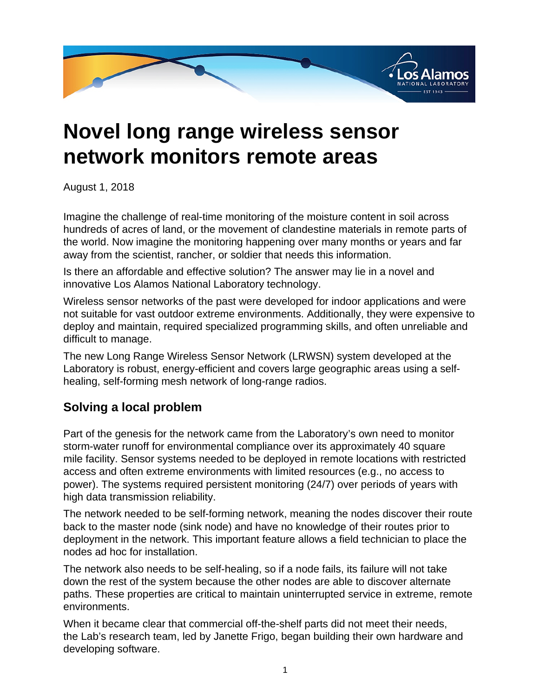

## **Novel long range wireless sensor network monitors remote areas**

August 1, 2018

Imagine the challenge of real-time monitoring of the moisture content in soil across hundreds of acres of land, or the movement of clandestine materials in remote parts of the world. Now imagine the monitoring happening over many months or years and far away from the scientist, rancher, or soldier that needs this information.

Is there an affordable and effective solution? The answer may lie in a novel and innovative Los Alamos National Laboratory technology.

Wireless sensor networks of the past were developed for indoor applications and were not suitable for vast outdoor extreme environments. Additionally, they were expensive to deploy and maintain, required specialized programming skills, and often unreliable and difficult to manage.

The new Long Range Wireless Sensor Network (LRWSN) system developed at the Laboratory is robust, energy-efficient and covers large geographic areas using a selfhealing, self-forming mesh network of long-range radios.

## **Solving a local problem**

Part of the genesis for the network came from the Laboratory's own need to monitor storm-water runoff for environmental compliance over its approximately 40 square mile facility. Sensor systems needed to be deployed in remote locations with restricted access and often extreme environments with limited resources (e.g., no access to power). The systems required persistent monitoring (24/7) over periods of years with high data transmission reliability.

The network needed to be self-forming network, meaning the nodes discover their route back to the master node (sink node) and have no knowledge of their routes prior to deployment in the network. This important feature allows a field technician to place the nodes ad hoc for installation.

The network also needs to be self-healing, so if a node fails, its failure will not take down the rest of the system because the other nodes are able to discover alternate paths. These properties are critical to maintain uninterrupted service in extreme, remote environments.

When it became clear that commercial off-the-shelf parts did not meet their needs, the Lab's research team, led by Janette Frigo, began building their own hardware and developing software.